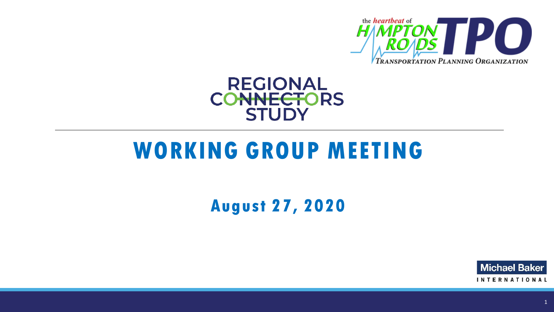

#### **REGIONAL CONNECTORS STUDY**

## **WORKING GROUP MEETING**

### **August 27, 2020**

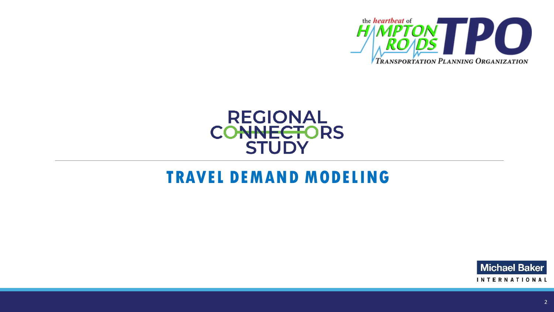



### **TRAVEL DEMAND MODELING**

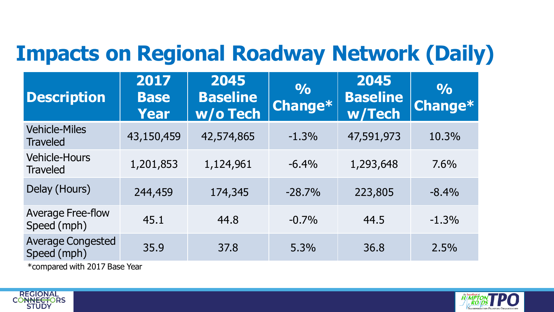### **Impacts on Regional Roadway Network (Daily)**

| <b>Description</b>                      | 2017<br><b>Base</b><br>Year | 2045<br><b>Baseline</b><br>w/o Tech | $\frac{1}{2}$<br>Change* | 2045<br><b>Baseline</b><br>w/Tech | $\frac{1}{2}$<br>Change* |
|-----------------------------------------|-----------------------------|-------------------------------------|--------------------------|-----------------------------------|--------------------------|
| <b>Vehicle-Miles</b><br><b>Traveled</b> | 43,150,459                  | 42,574,865                          | $-1.3%$                  | 47,591,973                        | 10.3%                    |
| <b>Vehicle-Hours</b><br><b>Traveled</b> | 1,201,853                   | 1,124,961                           | $-6.4%$                  | 1,293,648                         | 7.6%                     |
| Delay (Hours)                           | 244,459                     | 174,345                             | $-28.7%$                 | 223,805                           | $-8.4%$                  |
| <b>Average Free-flow</b><br>Speed (mph) | 45.1                        | 44.8                                | $-0.7%$                  | 44.5                              | $-1.3%$                  |
| <b>Average Congested</b><br>Speed (mph) | 35.9                        | 37.8                                | 5.3%                     | 36.8                              | 2.5%                     |

\*compared with 2017 Base Year



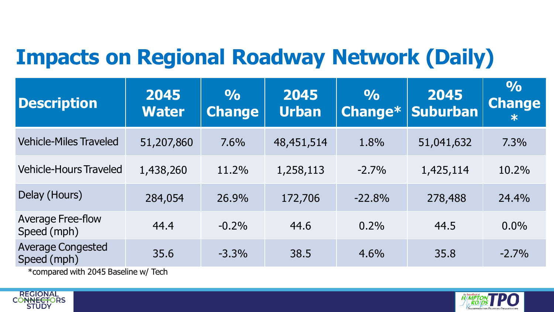### **Impacts on Regional Roadway Network (Daily)**

| <b>Description</b>                                                                     | 2045<br><b>Water</b> | $\frac{O}{O}$<br><b>Change</b> | 2045<br><b>Urban</b> | $\frac{1}{2}$<br>Change* | 2045<br>Suburban | $\frac{1}{2}$<br><b>Change</b><br>$\ast$ |
|----------------------------------------------------------------------------------------|----------------------|--------------------------------|----------------------|--------------------------|------------------|------------------------------------------|
| <b>Vehicle-Miles Traveled</b>                                                          | 51,207,860           | 7.6%                           | 48,451,514           | 1.8%                     | 51,041,632       | 7.3%                                     |
| <b>Vehicle-Hours Traveled</b>                                                          | 1,438,260            | 11.2%                          | 1,258,113            | $-2.7%$                  | 1,425,114        | 10.2%                                    |
| Delay (Hours)                                                                          | 284,054              | 26.9%                          | 172,706              | $-22.8%$                 | 278,488          | 24.4%                                    |
| <b>Average Free-flow</b><br>Speed (mph)                                                | 44.4                 | $-0.2%$                        | 44.6                 | 0.2%                     | 44.5             | $0.0\%$                                  |
| <b>Average Congested</b><br>Speed (mph)<br><b>*compared with 2045 Racoling w/ Toch</b> | 35.6                 | $-3.3%$                        | 38.5                 | $4.6\%$                  | 35.8             | $-2.7%$                                  |





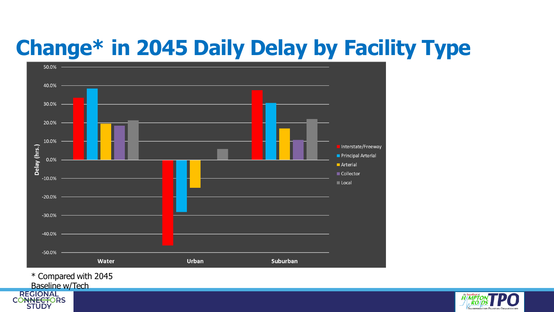## **Change\* in 2045 Daily Delay by Facility Type**

![](_page_4_Figure_1.jpeg)

\* Compared with 2045

![](_page_4_Picture_3.jpeg)

![](_page_4_Picture_4.jpeg)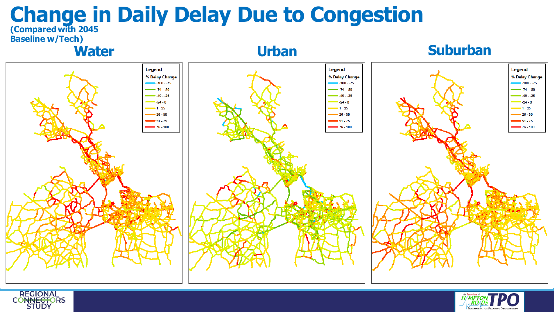#### **Change in Daily Delay Due to Congestion (Compared with 2045**

![](_page_5_Figure_1.jpeg)

![](_page_5_Picture_2.jpeg)

![](_page_5_Picture_3.jpeg)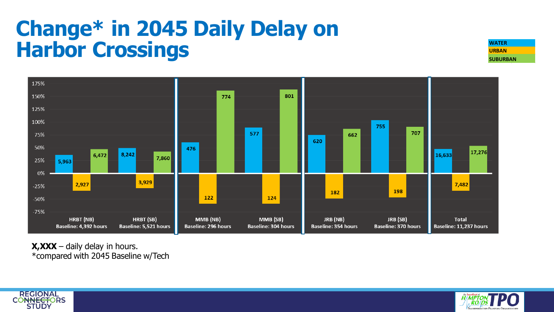### **Change\* in 2045 Daily Delay on Harbor Crossings**

**URBAN SUBURBAN**

![](_page_6_Figure_2.jpeg)

**X,XXX** – daily delay in hours. \*compared with 2045 Baseline w/Tech

![](_page_6_Picture_4.jpeg)

![](_page_6_Picture_5.jpeg)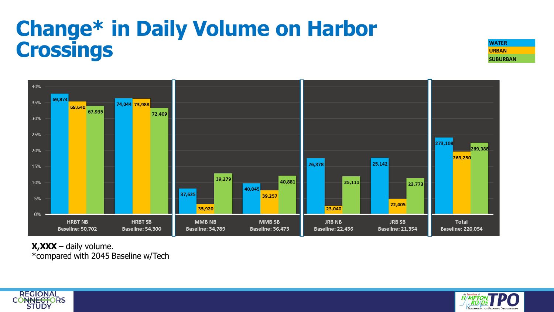## **Change\* in Daily Volume on Harbor Crossings WATER**

**URBAN SUBURBAN**

![](_page_7_Figure_2.jpeg)

**X,XXX** – daily volume. \*compared with 2045 Baseline w/Tech

![](_page_7_Picture_4.jpeg)

![](_page_7_Picture_5.jpeg)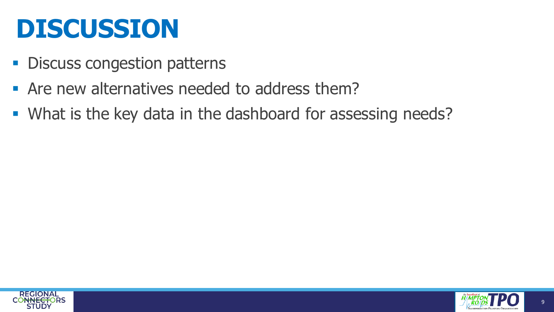# **DISCUSSION**

- Discuss congestion patterns
- Are new alternatives needed to address them?
- What is the key data in the dashboard for assessing needs?

![](_page_8_Picture_4.jpeg)

![](_page_8_Picture_5.jpeg)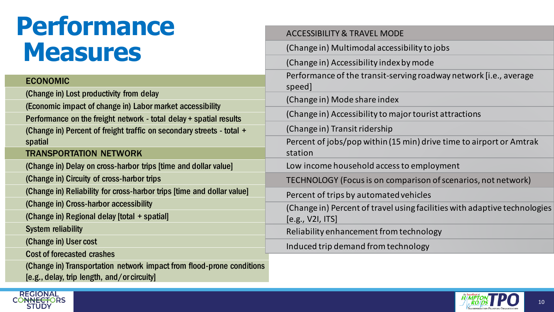# **Performance Measures**

#### ECONOMIC

(Change in) Lost productivity from delay

(Economic impact of change in) Labor market accessibility

Performance on the freight network - total delay + spatial results (Change in) Percent of freight traffic on secondary streets - total + spatial

#### TRANSPORTATION NETWORK

(Change in) Delay on cross-harbor trips [time and dollar value]

(Change in) Circuity of cross-harbor trips

(Change in) Reliability for cross-harbor trips [time and dollar value]

(Change in) Cross-harbor accessibility

(Change in) Regional delay [total + spatial]

System reliability

**REGIONAL** 

**STUDY** 

(Change in) User cost

Cost of forecasted crashes

(Change in) Transportation network impact from flood-prone conditions [e.g., delay, trip length, and/or circuity]

| <b>ACCESSIBILITY &amp; TRAVEL MODE</b>                                                        |
|-----------------------------------------------------------------------------------------------|
| (Change in) Multimodal accessibility to jobs                                                  |
| (Change in) Accessibility index by mode                                                       |
| Performance of the transit-serving roadway network [i.e., average<br>speed]                   |
| (Change in) Mode share index                                                                  |
| (Change in) Accessibility to major tourist attractions                                        |
| (Change in) Transit ridership                                                                 |
| Percent of jobs/pop within (15 min) drive time to airport or Amtrak<br>station                |
| Low income household access to employment                                                     |
| TECHNOLOGY (Focus is on comparison of scenarios, not network)                                 |
| Percent of trips by automated vehicles                                                        |
| (Change in) Percent of travel using facilities with adaptive technologies<br>[e.g., V2I, ITS] |
| Reliability enhancement from technology                                                       |
| Induced trip demand from technology                                                           |
|                                                                                               |

![](_page_9_Picture_16.jpeg)